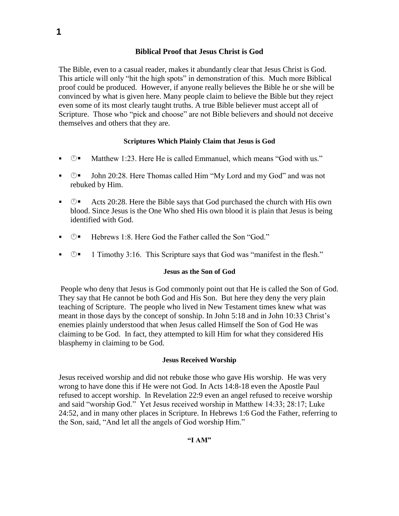# **Biblical Proof that Jesus Christ is God**

The Bible, even to a casual reader, makes it abundantly clear that Jesus Christ is God. This article will only "hit the high spots" in demonstration of this. Much more Biblical proof could be produced. However, if anyone really believes the Bible he or she will be convinced by what is given here. Many people claim to believe the Bible but they reject even some of its most clearly taught truths. A true Bible believer must accept all of Scripture. Those who "pick and choose" are not Bible believers and should not deceive themselves and others that they are.

### **Scriptures Which Plainly Claim that Jesus is God**

- $\mathbb{O}$  Matthew 1:23. Here He is called Emmanuel, which means "God with us."
- John 20:28. Here Thomas called Him "My Lord and my God" and was not rebuked by Him.
- $\blacksquare$   $\blacksquare$  Acts 20:28. Here the Bible says that God purchased the church with His own blood. Since Jesus is the One Who shed His own blood it is plain that Jesus is being identified with God.
- Hebrews 1:8. Here God the Father called the Son "God."
- $\blacksquare$  1 Timothy 3:16. This Scripture says that God was "manifest in the flesh."

#### **Jesus as the Son of God**

People who deny that Jesus is God commonly point out that He is called the Son of God. They say that He cannot be both God and His Son. But here they deny the very plain teaching of Scripture. The people who lived in New Testament times knew what was meant in those days by the concept of sonship. In John 5:18 and in John 10:33 Christ's enemies plainly understood that when Jesus called Himself the Son of God He was claiming to be God. In fact, they attempted to kill Him for what they considered His blasphemy in claiming to be God.

#### **Jesus Received Worship**

Jesus received worship and did not rebuke those who gave His worship. He was very wrong to have done this if He were not God. In Acts 14:8-18 even the Apostle Paul refused to accept worship. In Revelation 22:9 even an angel refused to receive worship and said "worship God." Yet Jesus received worship in Matthew 14:33; 28:17; Luke 24:52, and in many other places in Scripture. In Hebrews 1:6 God the Father, referring to the Son, said, "And let all the angels of God worship Him."